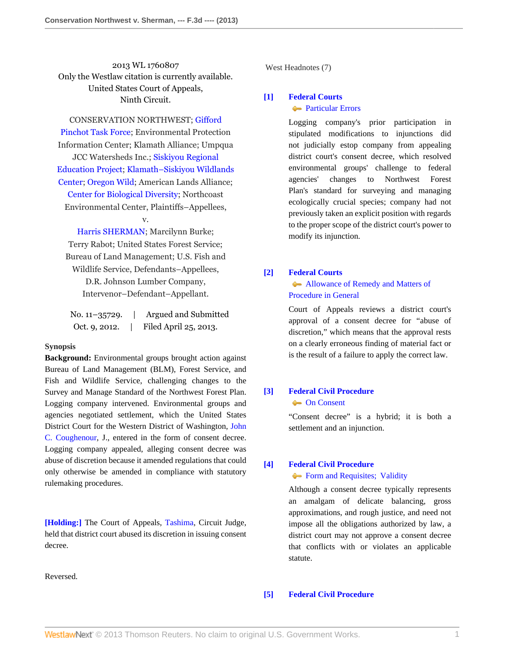2013 WL 1760807 Only the Westlaw citation is currently available. United States Court of Appeals, Ninth Circuit.

CONSERVATION NORTHWEST; [Gifford](http://www.westlaw.com/Search/Results.html?query=advanced%3a+OAID(5018377209)&saveJuris=False&contentType=BUSINESS-INVESTIGATOR&startIndex=1&contextData=(sc.Default)&categoryPageUrl=Home%2fCompanyInvestigator&originationContext=document&vr=3.0&rs=cblt1.0&transitionType=DocumentItem) [Pinchot Task Force;](http://www.westlaw.com/Search/Results.html?query=advanced%3a+OAID(5018377209)&saveJuris=False&contentType=BUSINESS-INVESTIGATOR&startIndex=1&contextData=(sc.Default)&categoryPageUrl=Home%2fCompanyInvestigator&originationContext=document&vr=3.0&rs=cblt1.0&transitionType=DocumentItem) Environmental Protection Information Center; Klamath Alliance; Umpqua JCC Watersheds Inc.; [Siskiyou Regional](http://www.westlaw.com/Search/Results.html?query=advanced%3a+OAID(5002702965)&saveJuris=False&contentType=BUSINESS-INVESTIGATOR&startIndex=1&contextData=(sc.Default)&categoryPageUrl=Home%2fCompanyInvestigator&originationContext=document&vr=3.0&rs=cblt1.0&transitionType=DocumentItem) [Education Project;](http://www.westlaw.com/Search/Results.html?query=advanced%3a+OAID(5002702965)&saveJuris=False&contentType=BUSINESS-INVESTIGATOR&startIndex=1&contextData=(sc.Default)&categoryPageUrl=Home%2fCompanyInvestigator&originationContext=document&vr=3.0&rs=cblt1.0&transitionType=DocumentItem) [Klamath–Siskiyou Wildlands](http://www.westlaw.com/Search/Results.html?query=advanced%3a+OAID(5004856302)&saveJuris=False&contentType=BUSINESS-INVESTIGATOR&startIndex=1&contextData=(sc.Default)&categoryPageUrl=Home%2fCompanyInvestigator&originationContext=document&vr=3.0&rs=cblt1.0&transitionType=DocumentItem) [Center;](http://www.westlaw.com/Search/Results.html?query=advanced%3a+OAID(5004856302)&saveJuris=False&contentType=BUSINESS-INVESTIGATOR&startIndex=1&contextData=(sc.Default)&categoryPageUrl=Home%2fCompanyInvestigator&originationContext=document&vr=3.0&rs=cblt1.0&transitionType=DocumentItem) [Oregon Wild;](http://www.westlaw.com/Search/Results.html?query=advanced%3a+OAID(5010964409)&saveJuris=False&contentType=BUSINESS-INVESTIGATOR&startIndex=1&contextData=(sc.Default)&categoryPageUrl=Home%2fCompanyInvestigator&originationContext=document&vr=3.0&rs=cblt1.0&transitionType=DocumentItem) American Lands Alliance; [Center for Biological Diversity;](http://www.westlaw.com/Search/Results.html?query=advanced%3a+OAID(5020177789)&saveJuris=False&contentType=BUSINESS-INVESTIGATOR&startIndex=1&contextData=(sc.Default)&categoryPageUrl=Home%2fCompanyInvestigator&originationContext=document&vr=3.0&rs=cblt1.0&transitionType=DocumentItem) Northcoast Environmental Center, Plaintiffs–Appellees,

[Harris SHERMAN;](http://www.westlaw.com/Search/Results.html?query=advanced%3a+OAID(5002385875)&saveJuris=False&contentType=BUSINESS-INVESTIGATOR&startIndex=1&contextData=(sc.Default)&categoryPageUrl=Home%2fCompanyInvestigator&originationContext=document&vr=3.0&rs=cblt1.0&transitionType=DocumentItem) Marcilynn Burke; Terry Rabot; United States Forest Service; Bureau of Land Management; U.S. Fish and Wildlife Service, Defendants–Appellees, D.R. Johnson Lumber Company, Intervenor–Defendant–Appellant.

v.

| No. $11 - 35729$ . | Argued and Submitted  |
|--------------------|-----------------------|
| Oct. 9, 2012.      | Filed April 25, 2013. |

#### **Synopsis**

**Background:** Environmental groups brought action against Bureau of Land Management (BLM), Forest Service, and Fish and Wildlife Service, challenging changes to the Survey and Manage Standard of the Northwest Forest Plan. Logging company intervened. Environmental groups and agencies negotiated settlement, which the United States District Court for the Western District of Washington, [John](http://www.westlaw.com/Link/Document/FullText?findType=h&pubNum=176284&cite=0172015901&originatingDoc=I0105e286adcd11e2a98ec867961a22de&refType=RQ&originationContext=document&vr=3.0&rs=cblt1.0&transitionType=DocumentItem&contextData=(sc.History*oc.Search)) [C. Coughenour,](http://www.westlaw.com/Link/Document/FullText?findType=h&pubNum=176284&cite=0172015901&originatingDoc=I0105e286adcd11e2a98ec867961a22de&refType=RQ&originationContext=document&vr=3.0&rs=cblt1.0&transitionType=DocumentItem&contextData=(sc.History*oc.Search)) J., entered in the form of consent decree. Logging company appealed, alleging consent decree was abuse of discretion because it amended regulations that could only otherwise be amended in compliance with statutory rulemaking procedures.

**[\[Holding:\]](#page-1-0)** The Court of Appeals, [Tashima](http://www.westlaw.com/Link/Document/FullText?findType=h&pubNum=176284&cite=0245209101&originatingDoc=I0105e286adcd11e2a98ec867961a22de&refType=RQ&originationContext=document&vr=3.0&rs=cblt1.0&transitionType=DocumentItem&contextData=(sc.History*oc.Search)), Circuit Judge, held that district court abused its discretion in issuing consent decree.

Reversed.

West Headnotes (7)

## <span id="page-0-0"></span>**[\[1\]](#page-3-0) [Federal Courts](http://www.westlaw.com/Browse/Home/KeyNumber/170B/View.html?docGuid=I0105e286adcd11e2a98ec867961a22de&originationContext=document&vr=3.0&rs=cblt1.0&transitionType=DocumentItem&contextData=(sc.History*oc.Search)) [Particular Errors](http://www.westlaw.com/Browse/Home/KeyNumber/170Bk774/View.html?docGuid=I0105e286adcd11e2a98ec867961a22de&originationContext=document&vr=3.0&rs=cblt1.0&transitionType=DocumentItem&contextData=(sc.History*oc.Search))**

Logging company's prior participation in stipulated modifications to injunctions did not judicially estop company from appealing district court's consent decree, which resolved environmental groups' challenge to federal agencies' changes to Northwest Forest Plan's standard for surveying and managing ecologically crucial species; company had not previously taken an explicit position with regards to the proper scope of the district court's power to modify its injunction.

## <span id="page-0-1"></span>**[\[2\]](#page-3-1) [Federal Courts](http://www.westlaw.com/Browse/Home/KeyNumber/170B/View.html?docGuid=I0105e286adcd11e2a98ec867961a22de&originationContext=document&vr=3.0&rs=cblt1.0&transitionType=DocumentItem&contextData=(sc.History*oc.Search))**

## **[Allowance of Remedy and Matters of](http://www.westlaw.com/Browse/Home/KeyNumber/170Bk813/View.html?docGuid=I0105e286adcd11e2a98ec867961a22de&originationContext=document&vr=3.0&rs=cblt1.0&transitionType=DocumentItem&contextData=(sc.History*oc.Search))** [Procedure in General](http://www.westlaw.com/Browse/Home/KeyNumber/170Bk813/View.html?docGuid=I0105e286adcd11e2a98ec867961a22de&originationContext=document&vr=3.0&rs=cblt1.0&transitionType=DocumentItem&contextData=(sc.History*oc.Search))

Court of Appeals reviews a district court's approval of a consent decree for "abuse of discretion," which means that the approval rests on a clearly erroneous finding of material fact or is the result of a failure to apply the correct law.

## <span id="page-0-2"></span>**[\[3\]](#page-3-2) [Federal Civil Procedure](http://www.westlaw.com/Browse/Home/KeyNumber/170A/View.html?docGuid=I0105e286adcd11e2a98ec867961a22de&originationContext=document&vr=3.0&rs=cblt1.0&transitionType=DocumentItem&contextData=(sc.History*oc.Search))**

#### **[On Consent](http://www.westlaw.com/Browse/Home/KeyNumber/170Ak2397/View.html?docGuid=I0105e286adcd11e2a98ec867961a22de&originationContext=document&vr=3.0&rs=cblt1.0&transitionType=DocumentItem&contextData=(sc.History*oc.Search))**

"Consent decree" is a hybrid; it is both a settlement and an injunction.

# <span id="page-0-3"></span>**[\[4\]](#page-3-3) [Federal Civil Procedure](http://www.westlaw.com/Browse/Home/KeyNumber/170A/View.html?docGuid=I0105e286adcd11e2a98ec867961a22de&originationContext=document&vr=3.0&rs=cblt1.0&transitionType=DocumentItem&contextData=(sc.History*oc.Search))**

## [Form and Requisites; Validity](http://www.westlaw.com/Browse/Home/KeyNumber/170Ak2397.2/View.html?docGuid=I0105e286adcd11e2a98ec867961a22de&originationContext=document&vr=3.0&rs=cblt1.0&transitionType=DocumentItem&contextData=(sc.History*oc.Search))

Although a consent decree typically represents an amalgam of delicate balancing, gross approximations, and rough justice, and need not impose all the obligations authorized by law, a district court may not approve a consent decree that conflicts with or violates an applicable statute.

#### <span id="page-0-4"></span>**[\[5\]](#page-4-0) [Federal Civil Procedure](http://www.westlaw.com/Browse/Home/KeyNumber/170A/View.html?docGuid=I0105e286adcd11e2a98ec867961a22de&originationContext=document&vr=3.0&rs=cblt1.0&transitionType=DocumentItem&contextData=(sc.History*oc.Search))**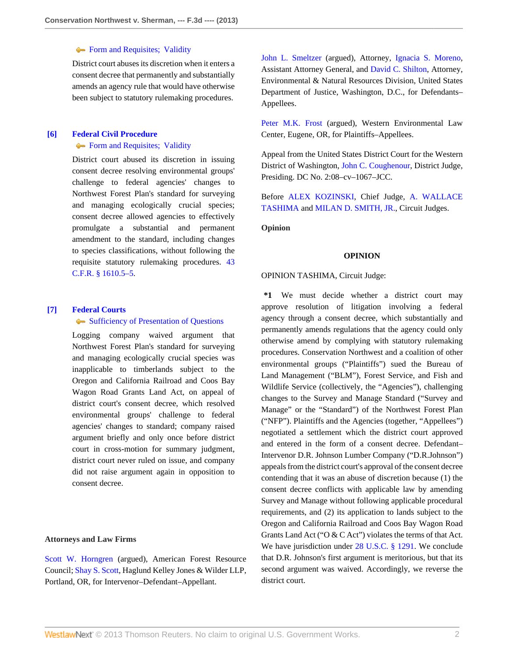#### **[Form and Requisites; Validity](http://www.westlaw.com/Browse/Home/KeyNumber/170Ak2397.2/View.html?docGuid=I0105e286adcd11e2a98ec867961a22de&originationContext=document&vr=3.0&rs=cblt1.0&transitionType=DocumentItem&contextData=(sc.History*oc.Search))**

District court abuses its discretion when it enters a consent decree that permanently and substantially amends an agency rule that would have otherwise been subject to statutory rulemaking procedures.

## <span id="page-1-0"></span>**[\[6\]](#page-4-1) [Federal Civil Procedure](http://www.westlaw.com/Browse/Home/KeyNumber/170A/View.html?docGuid=I0105e286adcd11e2a98ec867961a22de&originationContext=document&vr=3.0&rs=cblt1.0&transitionType=DocumentItem&contextData=(sc.History*oc.Search))** [Form and Requisites; Validity](http://www.westlaw.com/Browse/Home/KeyNumber/170Ak2397.2/View.html?docGuid=I0105e286adcd11e2a98ec867961a22de&originationContext=document&vr=3.0&rs=cblt1.0&transitionType=DocumentItem&contextData=(sc.History*oc.Search))

District court abused its discretion in issuing consent decree resolving environmental groups' challenge to federal agencies' changes to Northwest Forest Plan's standard for surveying and managing ecologically crucial species; consent decree allowed agencies to effectively promulgate a substantial and permanent amendment to the standard, including changes to species classifications, without following the requisite statutory rulemaking procedures. [43](http://www.westlaw.com/Link/Document/FullText?findType=L&pubNum=1000547&cite=43CFRS1610.5-5&originatingDoc=I0105e286adcd11e2a98ec867961a22de&refType=LQ&originationContext=document&vr=3.0&rs=cblt1.0&transitionType=DocumentItem&contextData=(sc.History*oc.Search)) [C.F.R. § 1610.5–5.](http://www.westlaw.com/Link/Document/FullText?findType=L&pubNum=1000547&cite=43CFRS1610.5-5&originatingDoc=I0105e286adcd11e2a98ec867961a22de&refType=LQ&originationContext=document&vr=3.0&rs=cblt1.0&transitionType=DocumentItem&contextData=(sc.History*oc.Search))

### <span id="page-1-1"></span>**[\[7\]](#page-5-0) [Federal Courts](http://www.westlaw.com/Browse/Home/KeyNumber/170B/View.html?docGuid=I0105e286adcd11e2a98ec867961a22de&originationContext=document&vr=3.0&rs=cblt1.0&transitionType=DocumentItem&contextData=(sc.History*oc.Search))**

#### **[Sufficiency of Presentation of Questions](http://www.westlaw.com/Browse/Home/KeyNumber/170Bk617/View.html?docGuid=I0105e286adcd11e2a98ec867961a22de&originationContext=document&vr=3.0&rs=cblt1.0&transitionType=DocumentItem&contextData=(sc.History*oc.Search))**

Logging company waived argument that Northwest Forest Plan's standard for surveying and managing ecologically crucial species was inapplicable to timberlands subject to the Oregon and California Railroad and Coos Bay Wagon Road Grants Land Act, on appeal of district court's consent decree, which resolved environmental groups' challenge to federal agencies' changes to standard; company raised argument briefly and only once before district court in cross-motion for summary judgment, district court never ruled on issue, and company did not raise argument again in opposition to consent decree.

#### **Attorneys and Law Firms**

[Scott W. Horngren](http://www.westlaw.com/Link/Document/FullText?findType=h&pubNum=176284&cite=0342170701&originatingDoc=I0105e286adcd11e2a98ec867961a22de&refType=RQ&originationContext=document&vr=3.0&rs=cblt1.0&transitionType=DocumentItem&contextData=(sc.History*oc.Search)) (argued), American Forest Resource Council; [Shay S. Scott](http://www.westlaw.com/Link/Document/FullText?findType=h&pubNum=176284&cite=0197476701&originatingDoc=I0105e286adcd11e2a98ec867961a22de&refType=RQ&originationContext=document&vr=3.0&rs=cblt1.0&transitionType=DocumentItem&contextData=(sc.History*oc.Search)), Haglund Kelley Jones & Wilder LLP, Portland, OR, for Intervenor–Defendant–Appellant.

[John L. Smeltzer](http://www.westlaw.com/Link/Document/FullText?findType=h&pubNum=176284&cite=0231537901&originatingDoc=I0105e286adcd11e2a98ec867961a22de&refType=RQ&originationContext=document&vr=3.0&rs=cblt1.0&transitionType=DocumentItem&contextData=(sc.History*oc.Search)) (argued), Attorney, [Ignacia S. Moreno,](http://www.westlaw.com/Link/Document/FullText?findType=h&pubNum=176284&cite=0227512001&originatingDoc=I0105e286adcd11e2a98ec867961a22de&refType=RQ&originationContext=document&vr=3.0&rs=cblt1.0&transitionType=DocumentItem&contextData=(sc.History*oc.Search)) Assistant Attorney General, and [David C. Shilton,](http://www.westlaw.com/Link/Document/FullText?findType=h&pubNum=176284&cite=0152136401&originatingDoc=I0105e286adcd11e2a98ec867961a22de&refType=RQ&originationContext=document&vr=3.0&rs=cblt1.0&transitionType=DocumentItem&contextData=(sc.History*oc.Search)) Attorney, Environmental & Natural Resources Division, United States Department of Justice, Washington, D.C., for Defendants– Appellees.

[Peter M.K. Frost](http://www.westlaw.com/Link/Document/FullText?findType=h&pubNum=176284&cite=0350827701&originatingDoc=I0105e286adcd11e2a98ec867961a22de&refType=RQ&originationContext=document&vr=3.0&rs=cblt1.0&transitionType=DocumentItem&contextData=(sc.History*oc.Search)) (argued), Western Environmental Law Center, Eugene, OR, for Plaintiffs–Appellees.

Appeal from the United States District Court for the Western District of Washington, [John C. Coughenour,](http://www.westlaw.com/Link/Document/FullText?findType=h&pubNum=176284&cite=0172015901&originatingDoc=I0105e286adcd11e2a98ec867961a22de&refType=RQ&originationContext=document&vr=3.0&rs=cblt1.0&transitionType=DocumentItem&contextData=(sc.History*oc.Search)) District Judge, Presiding. DC No. 2:08–cv–1067–JCC.

Before [ALEX KOZINSKI](http://www.westlaw.com/Link/Document/FullText?findType=h&pubNum=176284&cite=0152453101&originatingDoc=I0105e286adcd11e2a98ec867961a22de&refType=RQ&originationContext=document&vr=3.0&rs=cblt1.0&transitionType=DocumentItem&contextData=(sc.History*oc.Search)), Chief Judge, [A. WALLACE](http://www.westlaw.com/Link/Document/FullText?findType=h&pubNum=176284&cite=0245209101&originatingDoc=I0105e286adcd11e2a98ec867961a22de&refType=RQ&originationContext=document&vr=3.0&rs=cblt1.0&transitionType=DocumentItem&contextData=(sc.History*oc.Search)) [TASHIMA](http://www.westlaw.com/Link/Document/FullText?findType=h&pubNum=176284&cite=0245209101&originatingDoc=I0105e286adcd11e2a98ec867961a22de&refType=RQ&originationContext=document&vr=3.0&rs=cblt1.0&transitionType=DocumentItem&contextData=(sc.History*oc.Search)) and [MILAN D. SMITH, JR.,](http://www.westlaw.com/Link/Document/FullText?findType=h&pubNum=176284&cite=0202981201&originatingDoc=I0105e286adcd11e2a98ec867961a22de&refType=RQ&originationContext=document&vr=3.0&rs=cblt1.0&transitionType=DocumentItem&contextData=(sc.History*oc.Search)) Circuit Judges.

**Opinion**

#### **OPINION**

#### OPINION TASHIMA, Circuit Judge:

**\*1** We must decide whether a district court may approve resolution of litigation involving a federal agency through a consent decree, which substantially and permanently amends regulations that the agency could only otherwise amend by complying with statutory rulemaking procedures. Conservation Northwest and a coalition of other environmental groups ("Plaintiffs") sued the Bureau of Land Management ("BLM"), Forest Service, and Fish and Wildlife Service (collectively, the "Agencies"), challenging changes to the Survey and Manage Standard ("Survey and Manage" or the "Standard") of the Northwest Forest Plan ("NFP"). Plaintiffs and the Agencies (together, "Appellees") negotiated a settlement which the district court approved and entered in the form of a consent decree. Defendant– Intervenor D.R. Johnson Lumber Company ("D.R.Johnson") appeals from the district court's approval of the consent decree contending that it was an abuse of discretion because (1) the consent decree conflicts with applicable law by amending Survey and Manage without following applicable procedural requirements, and (2) its application to lands subject to the Oregon and California Railroad and Coos Bay Wagon Road Grants Land Act ("O & C Act") violates the terms of that Act. We have jurisdiction under [28 U.S.C. § 1291](http://www.westlaw.com/Link/Document/FullText?findType=L&pubNum=1000546&cite=28USCAS1291&originatingDoc=I0105e286adcd11e2a98ec867961a22de&refType=LQ&originationContext=document&vr=3.0&rs=cblt1.0&transitionType=DocumentItem&contextData=(sc.History*oc.Search)). We conclude that D.R. Johnson's first argument is meritorious, but that its second argument was waived. Accordingly, we reverse the district court.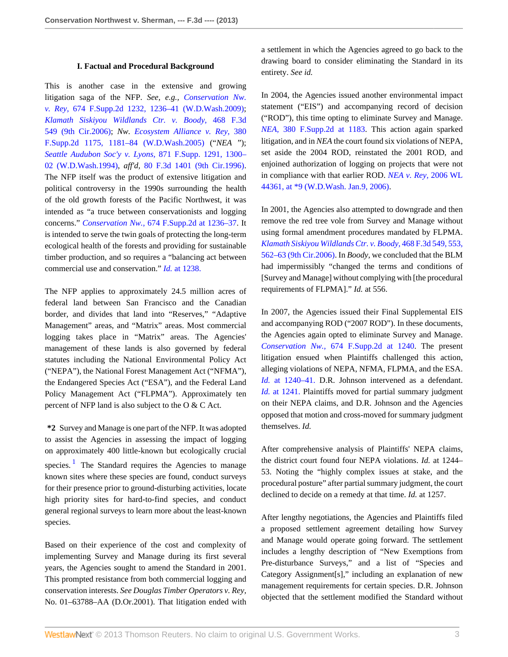#### **I. Factual and Procedural Background**

This is another case in the extensive and growing litigation saga of the NFP. *See, e.g., [Conservation Nw.](http://www.westlaw.com/Link/Document/FullText?findType=Y&serNum=2020782044&pubNum=4637&originationContext=document&vr=3.0&rs=cblt1.0&transitionType=DocumentItem&contextData=(sc.History*oc.Search)#co_pp_sp_4637_1236) v. Rey,* [674 F.Supp.2d 1232, 1236–41 \(W.D.Wash.2009\)](http://www.westlaw.com/Link/Document/FullText?findType=Y&serNum=2020782044&pubNum=4637&originationContext=document&vr=3.0&rs=cblt1.0&transitionType=DocumentItem&contextData=(sc.History*oc.Search)#co_pp_sp_4637_1236); *[Klamath Siskiyou Wildlands Ctr. v. Boody,](http://www.westlaw.com/Link/Document/FullText?findType=Y&serNum=2010586459&pubNum=506&originationContext=document&vr=3.0&rs=cblt1.0&transitionType=DocumentItem&contextData=(sc.History*oc.Search))* 468 F.3d [549 \(9th Cir.2006\);](http://www.westlaw.com/Link/Document/FullText?findType=Y&serNum=2010586459&pubNum=506&originationContext=document&vr=3.0&rs=cblt1.0&transitionType=DocumentItem&contextData=(sc.History*oc.Search)) *Nw. [Ecosystem Alliance v. Rey,](http://www.westlaw.com/Link/Document/FullText?findType=Y&serNum=2007082696&pubNum=4637&originationContext=document&vr=3.0&rs=cblt1.0&transitionType=DocumentItem&contextData=(sc.History*oc.Search)#co_pp_sp_4637_1181)* 380 [F.Supp.2d 1175, 1181–84 \(W.D.Wash.2005\)](http://www.westlaw.com/Link/Document/FullText?findType=Y&serNum=2007082696&pubNum=4637&originationContext=document&vr=3.0&rs=cblt1.0&transitionType=DocumentItem&contextData=(sc.History*oc.Search)#co_pp_sp_4637_1181) ("*NEA* "); *[Seattle Audubon Soc'y v. Lyons,](http://www.westlaw.com/Link/Document/FullText?findType=Y&serNum=1995021272&pubNum=345&originationContext=document&vr=3.0&rs=cblt1.0&transitionType=DocumentItem&contextData=(sc.History*oc.Search)#co_pp_sp_345_1300)* 871 F.Supp. 1291, 1300– [02 \(W.D.Wash.1994\)](http://www.westlaw.com/Link/Document/FullText?findType=Y&serNum=1995021272&pubNum=345&originationContext=document&vr=3.0&rs=cblt1.0&transitionType=DocumentItem&contextData=(sc.History*oc.Search)#co_pp_sp_345_1300), *aff'd,* [80 F.3d 1401 \(9th Cir.1996\)](http://www.westlaw.com/Link/Document/FullText?findType=Y&serNum=1996089101&pubNum=506&originationContext=document&vr=3.0&rs=cblt1.0&transitionType=DocumentItem&contextData=(sc.History*oc.Search)). The NFP itself was the product of extensive litigation and political controversy in the 1990s surrounding the health of the old growth forests of the Pacific Northwest, it was intended as "a truce between conservationists and logging concerns." *Conservation Nw.,* [674 F.Supp.2d at 1236–37](http://www.westlaw.com/Link/Document/FullText?findType=Y&serNum=2020782044&pubNum=4637&originationContext=document&vr=3.0&rs=cblt1.0&transitionType=DocumentItem&contextData=(sc.History*oc.Search)#co_pp_sp_4637_1236). It is intended to serve the twin goals of protecting the long-term ecological health of the forests and providing for sustainable timber production, and so requires a "balancing act between commercial use and conservation." *Id.* [at 1238.](http://www.westlaw.com/Link/Document/FullText?findType=Y&serNum=2020782044&originationContext=document&vr=3.0&rs=cblt1.0&transitionType=DocumentItem&contextData=(sc.History*oc.Search))

The NFP applies to approximately 24.5 million acres of federal land between San Francisco and the Canadian border, and divides that land into "Reserves," "Adaptive Management" areas, and "Matrix" areas. Most commercial logging takes place in "Matrix" areas. The Agencies' management of these lands is also governed by federal statutes including the National Environmental Policy Act ("NEPA"), the National Forest Management Act ("NFMA"), the Endangered Species Act ("ESA"), and the Federal Land Policy Management Act ("FLPMA"). Approximately ten percent of NFP land is also subject to the O & C Act.

<span id="page-2-0"></span>**\*2** Survey and Manage is one part of the NFP. It was adopted to assist the Agencies in assessing the impact of logging on approximately 400 little-known but ecologically crucial species.<sup>[1](#page-5-1)</sup> The Standard requires the Agencies to manage known sites where these species are found, conduct surveys for their presence prior to ground-disturbing activities, locate high priority sites for hard-to-find species, and conduct general regional surveys to learn more about the least-known species.

Based on their experience of the cost and complexity of implementing Survey and Manage during its first several years, the Agencies sought to amend the Standard in 2001. This prompted resistance from both commercial logging and conservation interests. *See Douglas Timber Operators v. Rey,* No. 01–63788–AA (D.Or.2001). That litigation ended with a settlement in which the Agencies agreed to go back to the drawing board to consider eliminating the Standard in its entirety. *See id.*

In 2004, the Agencies issued another environmental impact statement ("EIS") and accompanying record of decision ("ROD"), this time opting to eliminate Survey and Manage. *NEA,* [380 F.Supp.2d at 1183](http://www.westlaw.com/Link/Document/FullText?findType=Y&serNum=2007082696&pubNum=4637&originationContext=document&vr=3.0&rs=cblt1.0&transitionType=DocumentItem&contextData=(sc.History*oc.Search)#co_pp_sp_4637_1183). This action again sparked litigation, and in *NEA* the court found six violations of NEPA, set aside the 2004 ROD, reinstated the 2001 ROD, and enjoined authorization of logging on projects that were not in compliance with that earlier ROD. *[NEA v. Rey,](http://www.westlaw.com/Link/Document/FullText?findType=Y&serNum=2008117051&pubNum=999&originationContext=document&vr=3.0&rs=cblt1.0&transitionType=DocumentItem&contextData=(sc.History*oc.Search))* 2006 WL [44361, at \\*9 \(W.D.Wash. Jan.9, 2006\)](http://www.westlaw.com/Link/Document/FullText?findType=Y&serNum=2008117051&pubNum=999&originationContext=document&vr=3.0&rs=cblt1.0&transitionType=DocumentItem&contextData=(sc.History*oc.Search)).

In 2001, the Agencies also attempted to downgrade and then remove the red tree vole from Survey and Manage without using formal amendment procedures mandated by FLPMA. *[Klamath Siskiyou Wildlands Ctr. v. Boody,](http://www.westlaw.com/Link/Document/FullText?findType=Y&serNum=2010586459&pubNum=506&originationContext=document&vr=3.0&rs=cblt1.0&transitionType=DocumentItem&contextData=(sc.History*oc.Search)#co_pp_sp_506_553)* 468 F.3d 549, 553, [562–63 \(9th Cir.2006\).](http://www.westlaw.com/Link/Document/FullText?findType=Y&serNum=2010586459&pubNum=506&originationContext=document&vr=3.0&rs=cblt1.0&transitionType=DocumentItem&contextData=(sc.History*oc.Search)#co_pp_sp_506_553) In *Boody,* we concluded that the BLM had impermissibly "changed the terms and conditions of [Survey and Manage] without complying with [the procedural requirements of FLPMA]." *Id.* at 556.

In 2007, the Agencies issued their Final Supplemental EIS and accompanying ROD ("2007 ROD"). In these documents, the Agencies again opted to eliminate Survey and Manage. *Conservation Nw.,* [674 F.Supp.2d at 1240](http://www.westlaw.com/Link/Document/FullText?findType=Y&serNum=2020782044&pubNum=4637&originationContext=document&vr=3.0&rs=cblt1.0&transitionType=DocumentItem&contextData=(sc.History*oc.Search)#co_pp_sp_4637_1240). The present litigation ensued when Plaintiffs challenged this action, alleging violations of NEPA, NFMA, FLPMA, and the ESA. *Id.* [at 1240–41.](http://www.westlaw.com/Link/Document/FullText?findType=Y&serNum=2020782044&originationContext=document&vr=3.0&rs=cblt1.0&transitionType=DocumentItem&contextData=(sc.History*oc.Search)) D.R. Johnson intervened as a defendant. *Id.* [at 1241.](http://www.westlaw.com/Link/Document/FullText?findType=Y&serNum=2020782044&originationContext=document&vr=3.0&rs=cblt1.0&transitionType=DocumentItem&contextData=(sc.History*oc.Search)) Plaintiffs moved for partial summary judgment on their NEPA claims, and D.R. Johnson and the Agencies opposed that motion and cross-moved for summary judgment themselves. *Id.*

After comprehensive analysis of Plaintiffs' NEPA claims, the district court found four NEPA violations. *Id.* at 1244– 53. Noting the "highly complex issues at stake, and the procedural posture" after partial summary judgment, the court declined to decide on a remedy at that time. *Id.* at 1257.

After lengthy negotiations, the Agencies and Plaintiffs filed a proposed settlement agreement detailing how Survey and Manage would operate going forward. The settlement includes a lengthy description of "New Exemptions from Pre-disturbance Surveys," and a list of "Species and Category Assignment[s]," including an explanation of new management requirements for certain species. D.R. Johnson objected that the settlement modified the Standard without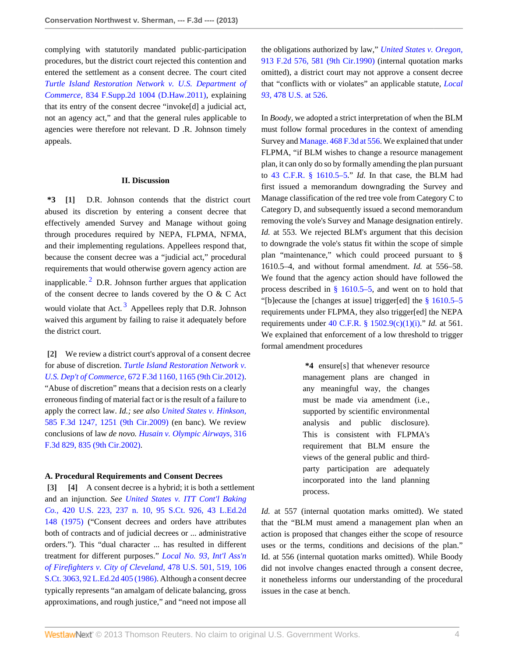complying with statutorily mandated public-participation procedures, but the district court rejected this contention and entered the settlement as a consent decree. The court cited *[Turtle Island Restoration Network v. U.S. Department of](http://www.westlaw.com/Link/Document/FullText?findType=Y&serNum=2027348061&pubNum=4637&originationContext=document&vr=3.0&rs=cblt1.0&transitionType=DocumentItem&contextData=(sc.History*oc.Search)) Commerce,* [834 F.Supp.2d 1004 \(D.Haw.2011\),](http://www.westlaw.com/Link/Document/FullText?findType=Y&serNum=2027348061&pubNum=4637&originationContext=document&vr=3.0&rs=cblt1.0&transitionType=DocumentItem&contextData=(sc.History*oc.Search)) explaining that its entry of the consent decree "invoke[d] a judicial act, not an agency act," and that the general rules applicable to agencies were therefore not relevant. D .R. Johnson timely appeals.

#### **II. Discussion**

<span id="page-3-4"></span><span id="page-3-0"></span>**\*3 [\[1](#page-0-0)]** D.R. Johnson contends that the district court abused its discretion by entering a consent decree that effectively amended Survey and Manage without going through procedures required by NEPA, FLPMA, NFMA, and their implementing regulations. Appellees respond that, because the consent decree was a "judicial act," procedural requirements that would otherwise govern agency action are inapplicable. $^{2}$  $^{2}$  $^{2}$  D.R. Johnson further argues that application of the consent decree to lands covered by the O & C Act would violate that Act.<sup>[3](#page-6-1)</sup> Appellees reply that D.R. Johnson waived this argument by failing to raise it adequately before the district court.

<span id="page-3-5"></span><span id="page-3-1"></span>**[\[2\]](#page-0-1)** We review a district court's approval of a consent decree for abuse of discretion. *[Turtle Island Restoration Network v.](http://www.westlaw.com/Link/Document/FullText?findType=Y&serNum=2027308596&pubNum=506&originationContext=document&vr=3.0&rs=cblt1.0&transitionType=DocumentItem&contextData=(sc.History*oc.Search)#co_pp_sp_506_1165) U.S. Dep't of Commerce,* [672 F.3d 1160, 1165 \(9th Cir.2012\)](http://www.westlaw.com/Link/Document/FullText?findType=Y&serNum=2027308596&pubNum=506&originationContext=document&vr=3.0&rs=cblt1.0&transitionType=DocumentItem&contextData=(sc.History*oc.Search)#co_pp_sp_506_1165). "Abuse of discretion" means that a decision rests on a clearly erroneous finding of material fact or is the result of a failure to apply the correct law. *Id.; see also [United States v. Hinkson,](http://www.westlaw.com/Link/Document/FullText?findType=Y&serNum=2020306289&pubNum=506&originationContext=document&vr=3.0&rs=cblt1.0&transitionType=DocumentItem&contextData=(sc.History*oc.Search)#co_pp_sp_506_1251)* [585 F.3d 1247, 1251 \(9th Cir.2009\)](http://www.westlaw.com/Link/Document/FullText?findType=Y&serNum=2020306289&pubNum=506&originationContext=document&vr=3.0&rs=cblt1.0&transitionType=DocumentItem&contextData=(sc.History*oc.Search)#co_pp_sp_506_1251) (en banc). We review conclusions of law *de novo. [Husain v. Olympic Airways,](http://www.westlaw.com/Link/Document/FullText?findType=Y&serNum=2002772318&pubNum=506&originationContext=document&vr=3.0&rs=cblt1.0&transitionType=DocumentItem&contextData=(sc.History*oc.Search)#co_pp_sp_506_835)* 316 [F.3d 829, 835 \(9th Cir.2002\)](http://www.westlaw.com/Link/Document/FullText?findType=Y&serNum=2002772318&pubNum=506&originationContext=document&vr=3.0&rs=cblt1.0&transitionType=DocumentItem&contextData=(sc.History*oc.Search)#co_pp_sp_506_835).

#### **A. Procedural Requirements and Consent Decrees**

<span id="page-3-3"></span><span id="page-3-2"></span>**[\[3\]](#page-0-2) [\[4\]](#page-0-3)** A consent decree is a hybrid; it is both a settlement and an injunction. *See [United States v. ITT Cont'l Baking](http://www.westlaw.com/Link/Document/FullText?findType=Y&serNum=1975129735&pubNum=708&originationContext=document&vr=3.0&rs=cblt1.0&transitionType=DocumentItem&contextData=(sc.History*oc.Search)) Co.,* [420 U.S. 223, 237 n. 10, 95 S.Ct. 926, 43 L.Ed.2d](http://www.westlaw.com/Link/Document/FullText?findType=Y&serNum=1975129735&pubNum=708&originationContext=document&vr=3.0&rs=cblt1.0&transitionType=DocumentItem&contextData=(sc.History*oc.Search)) [148 \(1975\)](http://www.westlaw.com/Link/Document/FullText?findType=Y&serNum=1975129735&pubNum=708&originationContext=document&vr=3.0&rs=cblt1.0&transitionType=DocumentItem&contextData=(sc.History*oc.Search)) ("Consent decrees and orders have attributes both of contracts and of judicial decrees or ... administrative orders."). This "dual character ... has resulted in different treatment for different purposes." *[Local No. 93, Int'l Ass'n](http://www.westlaw.com/Link/Document/FullText?findType=Y&serNum=1986134010&pubNum=708&originationContext=document&vr=3.0&rs=cblt1.0&transitionType=DocumentItem&contextData=(sc.History*oc.Search)) [of Firefighters v. City of Cleveland,](http://www.westlaw.com/Link/Document/FullText?findType=Y&serNum=1986134010&pubNum=708&originationContext=document&vr=3.0&rs=cblt1.0&transitionType=DocumentItem&contextData=(sc.History*oc.Search))* 478 U.S. 501, 519, 106 [S.Ct. 3063, 92 L.Ed.2d 405 \(1986\).](http://www.westlaw.com/Link/Document/FullText?findType=Y&serNum=1986134010&pubNum=708&originationContext=document&vr=3.0&rs=cblt1.0&transitionType=DocumentItem&contextData=(sc.History*oc.Search)) Although a consent decree typically represents "an amalgam of delicate balancing, gross approximations, and rough justice," and "need not impose all

the obligations authorized by law," *[United States v. Oregon,](http://www.westlaw.com/Link/Document/FullText?findType=Y&serNum=1990125407&pubNum=350&originationContext=document&vr=3.0&rs=cblt1.0&transitionType=DocumentItem&contextData=(sc.History*oc.Search)#co_pp_sp_350_581)* [913 F.2d 576, 581 \(9th Cir.1990\)](http://www.westlaw.com/Link/Document/FullText?findType=Y&serNum=1990125407&pubNum=350&originationContext=document&vr=3.0&rs=cblt1.0&transitionType=DocumentItem&contextData=(sc.History*oc.Search)#co_pp_sp_350_581) (internal quotation marks omitted), a district court may not approve a consent decree that "conflicts with or violates" an applicable statute, *[Local](http://www.westlaw.com/Link/Document/FullText?findType=Y&serNum=1986134010&pubNum=780&originationContext=document&vr=3.0&rs=cblt1.0&transitionType=DocumentItem&contextData=(sc.History*oc.Search)#co_pp_sp_780_526) 93,* [478 U.S. at 526](http://www.westlaw.com/Link/Document/FullText?findType=Y&serNum=1986134010&pubNum=780&originationContext=document&vr=3.0&rs=cblt1.0&transitionType=DocumentItem&contextData=(sc.History*oc.Search)#co_pp_sp_780_526).

In *Boody,* we adopted a strict interpretation of when the BLM must follow formal procedures in the context of amending Survey and [Manage. 468 F.3d at 556](http://www.westlaw.com/Link/Document/FullText?findType=Y&serNum=2010586459&pubNum=506&originationContext=document&vr=3.0&rs=cblt1.0&transitionType=DocumentItem&contextData=(sc.History*oc.Search)#co_pp_sp_506_556). We explained that under FLPMA, "if BLM wishes to change a resource management plan, it can only do so by formally amending the plan pursuant to [43 C.F.R. § 1610.5–5.](http://www.westlaw.com/Link/Document/FullText?findType=L&pubNum=1000547&cite=43CFRS1610.5-5&originatingDoc=I0105e286adcd11e2a98ec867961a22de&refType=LQ&originationContext=document&vr=3.0&rs=cblt1.0&transitionType=DocumentItem&contextData=(sc.History*oc.Search))" *Id.* In that case, the BLM had first issued a memorandum downgrading the Survey and Manage classification of the red tree vole from Category C to Category D, and subsequently issued a second memorandum removing the vole's Survey and Manage designation entirely. *Id.* at 553. We rejected BLM's argument that this decision to downgrade the vole's status fit within the scope of simple plan "maintenance," which could proceed pursuant to § 1610.5–4, and without formal amendment. *Id.* at 556–58. We found that the agency action should have followed the process described in [§ 1610.5–5,](http://www.westlaw.com/Link/Document/FullText?findType=L&pubNum=1000547&cite=43CFRS1610.5-5&originatingDoc=I0105e286adcd11e2a98ec867961a22de&refType=LQ&originationContext=document&vr=3.0&rs=cblt1.0&transitionType=DocumentItem&contextData=(sc.History*oc.Search)) and went on to hold that "[b]ecause the [changes at issue] trigger[ed] the [§ 1610.5–5](http://www.westlaw.com/Link/Document/FullText?findType=L&pubNum=1000547&cite=43CFRS1610.5-5&originatingDoc=I0105e286adcd11e2a98ec867961a22de&refType=LQ&originationContext=document&vr=3.0&rs=cblt1.0&transitionType=DocumentItem&contextData=(sc.History*oc.Search)) requirements under FLPMA, they also trigger[ed] the NEPA requirements under [40 C.F.R. § 1502.9\(c\)\(1\)\(i\)](http://www.westlaw.com/Link/Document/FullText?findType=L&pubNum=1000547&cite=40CFRS1502.9&originationContext=document&vr=3.0&rs=cblt1.0&transitionType=DocumentItem&contextData=(sc.History*oc.Search)#co_pp_69e30000b2793)." *Id.* at 561. We explained that enforcement of a low threshold to trigger formal amendment procedures

> **\*4** ensure[s] that whenever resource management plans are changed in any meaningful way, the changes must be made via amendment (i.e., supported by scientific environmental analysis and public disclosure). This is consistent with FLPMA's requirement that BLM ensure the views of the general public and thirdparty participation are adequately incorporated into the land planning process.

*Id.* at 557 (internal quotation marks omitted). We stated that the "BLM must amend a management plan when an action is proposed that changes either the scope of resource uses or the terms, conditions and decisions of the plan." Id. at 556 (internal quotation marks omitted). While Boody did not involve changes enacted through a consent decree, it nonetheless informs our understanding of the procedural issues in the case at bench.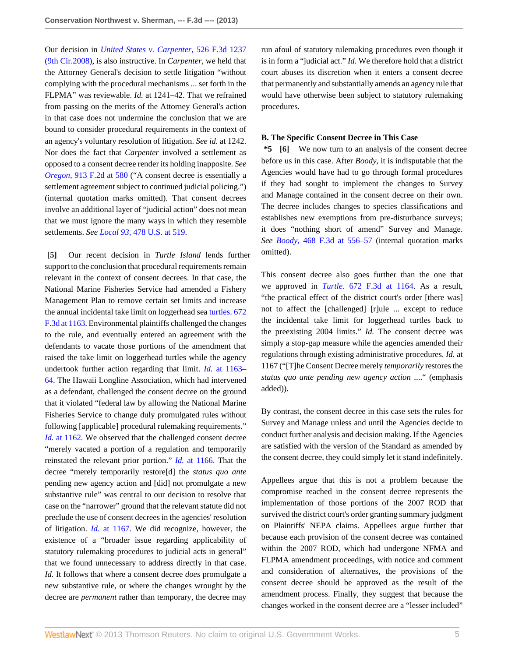Our decision in *[United States v. Carpenter,](http://www.westlaw.com/Link/Document/FullText?findType=Y&serNum=2016126798&pubNum=506&originationContext=document&vr=3.0&rs=cblt1.0&transitionType=DocumentItem&contextData=(sc.History*oc.Search))* 526 F.3d 1237 [\(9th Cir.2008\)](http://www.westlaw.com/Link/Document/FullText?findType=Y&serNum=2016126798&pubNum=506&originationContext=document&vr=3.0&rs=cblt1.0&transitionType=DocumentItem&contextData=(sc.History*oc.Search)), is also instructive. In *Carpenter,* we held that the Attorney General's decision to settle litigation "without complying with the procedural mechanisms ... set forth in the FLPMA" was reviewable. *Id.* at 1241–42. That we refrained from passing on the merits of the Attorney General's action in that case does not undermine the conclusion that we are bound to consider procedural requirements in the context of an agency's voluntary resolution of litigation. *See id.* at 1242. Nor does the fact that *Carpenter* involved a settlement as opposed to a consent decree render its holding inapposite. *See Oregon,* [913 F.2d at 580](http://www.westlaw.com/Link/Document/FullText?findType=Y&serNum=1990125407&pubNum=350&originationContext=document&vr=3.0&rs=cblt1.0&transitionType=DocumentItem&contextData=(sc.History*oc.Search)#co_pp_sp_350_580) ("A consent decree is essentially a settlement agreement subject to continued judicial policing.") (internal quotation marks omitted). That consent decrees involve an additional layer of "judicial action" does not mean that we must ignore the many ways in which they resemble settlements. *See Local 93,* [478 U.S. at 519](http://www.westlaw.com/Link/Document/FullText?findType=Y&serNum=1986134010&pubNum=780&originationContext=document&vr=3.0&rs=cblt1.0&transitionType=DocumentItem&contextData=(sc.History*oc.Search)#co_pp_sp_780_519).

<span id="page-4-0"></span>**[\[5\]](#page-0-4)** Our recent decision in *Turtle Island* lends further support to the conclusion that procedural requirements remain relevant in the context of consent decrees. In that case, the National Marine Fisheries Service had amended a Fishery Management Plan to remove certain set limits and increase the annual incidental take limit on loggerhead sea [turtles. 672](http://www.westlaw.com/Link/Document/FullText?findType=Y&serNum=2027308596&pubNum=506&originationContext=document&vr=3.0&rs=cblt1.0&transitionType=DocumentItem&contextData=(sc.History*oc.Search)#co_pp_sp_506_1163) [F.3d at 1163.](http://www.westlaw.com/Link/Document/FullText?findType=Y&serNum=2027308596&pubNum=506&originationContext=document&vr=3.0&rs=cblt1.0&transitionType=DocumentItem&contextData=(sc.History*oc.Search)#co_pp_sp_506_1163) Environmental plaintiffs challenged the changes to the rule, and eventually entered an agreement with the defendants to vacate those portions of the amendment that raised the take limit on loggerhead turtles while the agency undertook further action regarding that limit. *Id.* [at 1163–](http://www.westlaw.com/Link/Document/FullText?findType=Y&serNum=2027308596&originationContext=document&vr=3.0&rs=cblt1.0&transitionType=DocumentItem&contextData=(sc.History*oc.Search)) [64.](http://www.westlaw.com/Link/Document/FullText?findType=Y&serNum=2027308596&originationContext=document&vr=3.0&rs=cblt1.0&transitionType=DocumentItem&contextData=(sc.History*oc.Search)) The Hawaii Longline Association, which had intervened as a defendant, challenged the consent decree on the ground that it violated "federal law by allowing the National Marine Fisheries Service to change duly promulgated rules without following [applicable] procedural rulemaking requirements." *Id.* [at 1162.](http://www.westlaw.com/Link/Document/FullText?findType=Y&serNum=2027308596&originationContext=document&vr=3.0&rs=cblt1.0&transitionType=DocumentItem&contextData=(sc.History*oc.Search)) We observed that the challenged consent decree "merely vacated a portion of a regulation and temporarily reinstated the relevant prior portion." *Id.* [at 1166.](http://www.westlaw.com/Link/Document/FullText?findType=Y&serNum=2027308596&originationContext=document&vr=3.0&rs=cblt1.0&transitionType=DocumentItem&contextData=(sc.History*oc.Search)) That the decree "merely temporarily restore[d] the *status quo ante* pending new agency action and [did] not promulgate a new substantive rule" was central to our decision to resolve that case on the "narrower" ground that the relevant statute did not preclude the use of consent decrees in the agencies' resolution of litigation. *Id.* [at 1167.](http://www.westlaw.com/Link/Document/FullText?findType=Y&serNum=2027308596&originationContext=document&vr=3.0&rs=cblt1.0&transitionType=DocumentItem&contextData=(sc.History*oc.Search)) We did recognize, however, the existence of a "broader issue regarding applicability of statutory rulemaking procedures to judicial acts in general" that we found unnecessary to address directly in that case. *Id.* It follows that where a consent decree *does* promulgate a new substantive rule, or where the changes wrought by the decree are *permanent* rather than temporary, the decree may

run afoul of statutory rulemaking procedures even though it is in form a "judicial act." *Id.* We therefore hold that a district court abuses its discretion when it enters a consent decree that permanently and substantially amends an agency rule that would have otherwise been subject to statutory rulemaking procedures.

#### **B. The Specific Consent Decree in This Case**

<span id="page-4-1"></span>**\*5 [\[6\]](#page-1-0)** We now turn to an analysis of the consent decree before us in this case. After *Boody,* it is indisputable that the Agencies would have had to go through formal procedures if they had sought to implement the changes to Survey and Manage contained in the consent decree on their own. The decree includes changes to species classifications and establishes new exemptions from pre-disturbance surveys; it does "nothing short of amend" Survey and Manage. *See Boody,* [468 F.3d at 556–57](http://www.westlaw.com/Link/Document/FullText?findType=Y&serNum=2010586459&pubNum=506&originationContext=document&vr=3.0&rs=cblt1.0&transitionType=DocumentItem&contextData=(sc.History*oc.Search)#co_pp_sp_506_556) (internal quotation marks omitted).

This consent decree also goes further than the one that we approved in *Turtle.* [672 F.3d at 1164](http://www.westlaw.com/Link/Document/FullText?findType=Y&serNum=2027308596&pubNum=506&originationContext=document&vr=3.0&rs=cblt1.0&transitionType=DocumentItem&contextData=(sc.History*oc.Search)#co_pp_sp_506_1164). As a result, "the practical effect of the district court's order [there was] not to affect the [challenged] [r]ule ... except to reduce the incidental take limit for loggerhead turtles back to the preexisting 2004 limits." *Id.* The consent decree was simply a stop-gap measure while the agencies amended their regulations through existing administrative procedures. *Id.* at 1167 ("[T]he Consent Decree merely *temporarily* restores the *status quo ante pending new agency action* ...." (emphasis added)).

By contrast, the consent decree in this case sets the rules for Survey and Manage unless and until the Agencies decide to conduct further analysis and decision making. If the Agencies are satisfied with the version of the Standard as amended by the consent decree, they could simply let it stand indefinitely.

Appellees argue that this is not a problem because the compromise reached in the consent decree represents the implementation of those portions of the 2007 ROD that survived the district court's order granting summary judgment on Plaintiffs' NEPA claims. Appellees argue further that because each provision of the consent decree was contained within the 2007 ROD, which had undergone NFMA and FLPMA amendment proceedings, with notice and comment and consideration of alternatives, the provisions of the consent decree should be approved as the result of the amendment process. Finally, they suggest that because the changes worked in the consent decree are a "lesser included"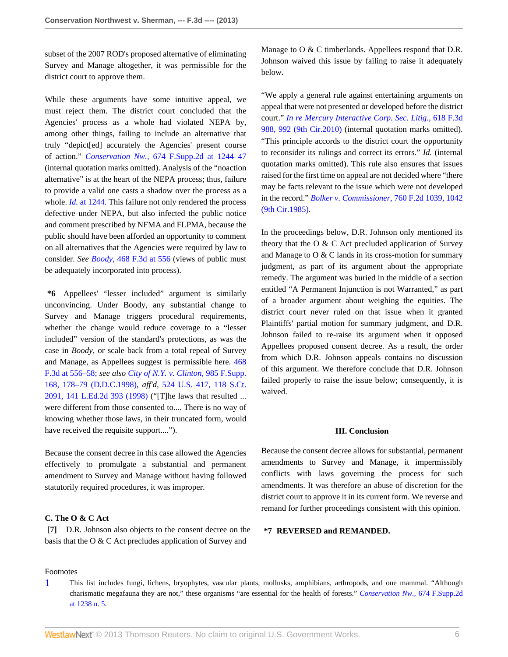subset of the 2007 ROD's proposed alternative of eliminating Survey and Manage altogether, it was permissible for the district court to approve them.

While these arguments have some intuitive appeal, we must reject them. The district court concluded that the Agencies' process as a whole had violated NEPA by, among other things, failing to include an alternative that truly "depict[ed] accurately the Agencies' present course of action." *Conservation Nw.,* [674 F.Supp.2d at 1244–47](http://www.westlaw.com/Link/Document/FullText?findType=Y&serNum=2020782044&pubNum=4637&originationContext=document&vr=3.0&rs=cblt1.0&transitionType=DocumentItem&contextData=(sc.History*oc.Search)#co_pp_sp_4637_1244) (internal quotation marks omitted). Analysis of the "noaction alternative" is at the heart of the NEPA process; thus, failure to provide a valid one casts a shadow over the process as a whole. *Id.* [at 1244.](http://www.westlaw.com/Link/Document/FullText?findType=Y&serNum=2020782044&originationContext=document&vr=3.0&rs=cblt1.0&transitionType=DocumentItem&contextData=(sc.History*oc.Search)) This failure not only rendered the process defective under NEPA, but also infected the public notice and comment prescribed by NFMA and FLPMA, because the public should have been afforded an opportunity to comment on all alternatives that the Agencies were required by law to consider. *See Boody,* [468 F.3d at 556](http://www.westlaw.com/Link/Document/FullText?findType=Y&serNum=2010586459&pubNum=506&originationContext=document&vr=3.0&rs=cblt1.0&transitionType=DocumentItem&contextData=(sc.History*oc.Search)#co_pp_sp_506_556) (views of public must be adequately incorporated into process).

**\*6** Appellees' "lesser included" argument is similarly unconvincing. Under Boody, any substantial change to Survey and Manage triggers procedural requirements, whether the change would reduce coverage to a "lesser included" version of the standard's protections, as was the case in *Boody,* or scale back from a total repeal of Survey and Manage, as Appellees suggest is permissible here. [468](http://www.westlaw.com/Link/Document/FullText?findType=Y&serNum=2010586459&pubNum=506&originationContext=document&vr=3.0&rs=cblt1.0&transitionType=DocumentItem&contextData=(sc.History*oc.Search)#co_pp_sp_506_556) [F.3d at 556–58;](http://www.westlaw.com/Link/Document/FullText?findType=Y&serNum=2010586459&pubNum=506&originationContext=document&vr=3.0&rs=cblt1.0&transitionType=DocumentItem&contextData=(sc.History*oc.Search)#co_pp_sp_506_556) *see also [City of N.Y. v. Clinton,](http://www.westlaw.com/Link/Document/FullText?findType=Y&serNum=1998053919&pubNum=345&originationContext=document&vr=3.0&rs=cblt1.0&transitionType=DocumentItem&contextData=(sc.History*oc.Search)#co_pp_sp_345_178)* 985 F.Supp. [168, 178–79 \(D.D.C.1998\),](http://www.westlaw.com/Link/Document/FullText?findType=Y&serNum=1998053919&pubNum=345&originationContext=document&vr=3.0&rs=cblt1.0&transitionType=DocumentItem&contextData=(sc.History*oc.Search)#co_pp_sp_345_178) *aff'd,* [524 U.S. 417, 118 S.Ct.](http://www.westlaw.com/Link/Document/FullText?findType=Y&serNum=1998132149&pubNum=708&originationContext=document&vr=3.0&rs=cblt1.0&transitionType=DocumentItem&contextData=(sc.History*oc.Search)) [2091, 141 L.Ed.2d 393 \(1998\)](http://www.westlaw.com/Link/Document/FullText?findType=Y&serNum=1998132149&pubNum=708&originationContext=document&vr=3.0&rs=cblt1.0&transitionType=DocumentItem&contextData=(sc.History*oc.Search)) ("[T]he laws that resulted ... were different from those consented to.... There is no way of knowing whether those laws, in their truncated form, would have received the requisite support....".

Because the consent decree in this case allowed the Agencies effectively to promulgate a substantial and permanent amendment to Survey and Manage without having followed statutorily required procedures, it was improper.

#### **C. The O & C Act**

<span id="page-5-0"></span>**[\[7\]](#page-1-1)** D.R. Johnson also objects to the consent decree on the basis that the O & C Act precludes application of Survey and

Manage to O & C timberlands. Appellees respond that D.R. Johnson waived this issue by failing to raise it adequately below.

"We apply a general rule against entertaining arguments on appeal that were not presented or developed before the district court." *[In re Mercury Interactive Corp. Sec. Litig.,](http://www.westlaw.com/Link/Document/FullText?findType=Y&serNum=2022791675&pubNum=506&originationContext=document&vr=3.0&rs=cblt1.0&transitionType=DocumentItem&contextData=(sc.History*oc.Search)#co_pp_sp_506_992)* 618 F.3d [988, 992 \(9th Cir.2010\)](http://www.westlaw.com/Link/Document/FullText?findType=Y&serNum=2022791675&pubNum=506&originationContext=document&vr=3.0&rs=cblt1.0&transitionType=DocumentItem&contextData=(sc.History*oc.Search)#co_pp_sp_506_992) (internal quotation marks omitted). "This principle accords to the district court the opportunity to reconsider its rulings and correct its errors." *Id.* (internal quotation marks omitted). This rule also ensures that issues raised for the first time on appeal are not decided where "there may be facts relevant to the issue which were not developed in the record." *[Bolker v. Commissioner,](http://www.westlaw.com/Link/Document/FullText?findType=Y&serNum=1985125228&pubNum=350&originationContext=document&vr=3.0&rs=cblt1.0&transitionType=DocumentItem&contextData=(sc.History*oc.Search)#co_pp_sp_350_1042)* 760 F.2d 1039, 1042 [\(9th Cir.1985\)](http://www.westlaw.com/Link/Document/FullText?findType=Y&serNum=1985125228&pubNum=350&originationContext=document&vr=3.0&rs=cblt1.0&transitionType=DocumentItem&contextData=(sc.History*oc.Search)#co_pp_sp_350_1042).

In the proceedings below, D.R. Johnson only mentioned its theory that the O & C Act precluded application of Survey and Manage to O & C lands in its cross-motion for summary judgment, as part of its argument about the appropriate remedy. The argument was buried in the middle of a section entitled "A Permanent Injunction is not Warranted," as part of a broader argument about weighing the equities. The district court never ruled on that issue when it granted Plaintiffs' partial motion for summary judgment, and D.R. Johnson failed to re-raise its argument when it opposed Appellees proposed consent decree. As a result, the order from which D.R. Johnson appeals contains no discussion of this argument. We therefore conclude that D.R. Johnson failed properly to raise the issue below; consequently, it is waived.

#### **III. Conclusion**

Because the consent decree allows for substantial, permanent amendments to Survey and Manage, it impermissibly conflicts with laws governing the process for such amendments. It was therefore an abuse of discretion for the district court to approve it in its current form. We reverse and remand for further proceedings consistent with this opinion.

#### **\*7 REVERSED and REMANDED.**

#### Footnotes

<span id="page-5-1"></span>[1](#page-2-0) This list includes fungi, lichens, bryophytes, vascular plants, mollusks, amphibians, arthropods, and one mammal. "Although charismatic megafauna they are not," these organisms "are essential for the health of forests." *[Conservation Nw.,](http://www.westlaw.com/Link/Document/FullText?findType=Y&serNum=2020782044&pubNum=4637&originationContext=document&vr=3.0&rs=cblt1.0&transitionType=DocumentItem&contextData=(sc.History*oc.Search)#co_pp_sp_4637_1238)* 674 F.Supp.2d [at 1238 n. 5](http://www.westlaw.com/Link/Document/FullText?findType=Y&serNum=2020782044&pubNum=4637&originationContext=document&vr=3.0&rs=cblt1.0&transitionType=DocumentItem&contextData=(sc.History*oc.Search)#co_pp_sp_4637_1238).